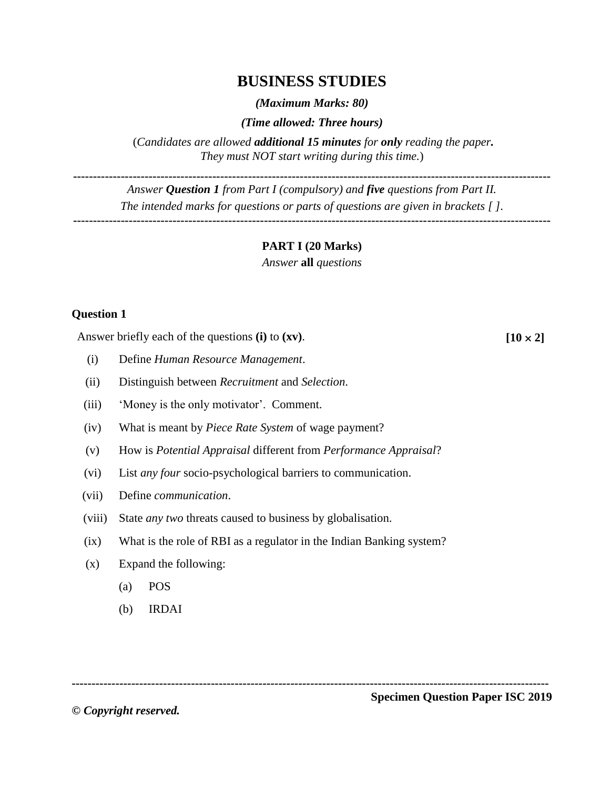# **BUSINESS STUDIES**

*(Maximum Marks: 80)*

*(Time allowed: Three hours)*

(*Candidates are allowed additional 15 minutes for only reading the paper. They must NOT start writing during this time.*)

**------------------------------------------------------------------------------------------------------------------------**

*Answer Question 1 from Part I (compulsory) and five questions from Part II. The intended marks for questions or parts of questions are given in brackets [ ].* **------------------------------------------------------------------------------------------------------------------------**

#### **PART I (20 Marks)**

*Answer* **all** *questions*

#### **Question 1**

Answer briefly each of the questions **(i)** to **(xv)**. [10  $\times$  2]

- (i) Define *Human Resource Management*.
- (ii) Distinguish between *Recruitment* and *Selection*.
- (iii) 'Money is the only motivator'. Comment.
- (iv) What is meant by *Piece Rate System* of wage payment?
- (v) How is *Potential Appraisal* different from *Performance Appraisal*?
- (vi) List *any four* socio-psychological barriers to communication.
- (vii) Define *communication*.
- (viii) State *any two* threats caused to business by globalisation.
- (ix) What is the role of RBI as a regulator in the Indian Banking system?
- (x) Expand the following:
	- (a) POS
	- (b) IRDAI

**------------------------------------------------------------------------------------------------------------------------**

**©** *Copyright reserved.* 

**Specimen Question Paper ISC 2019**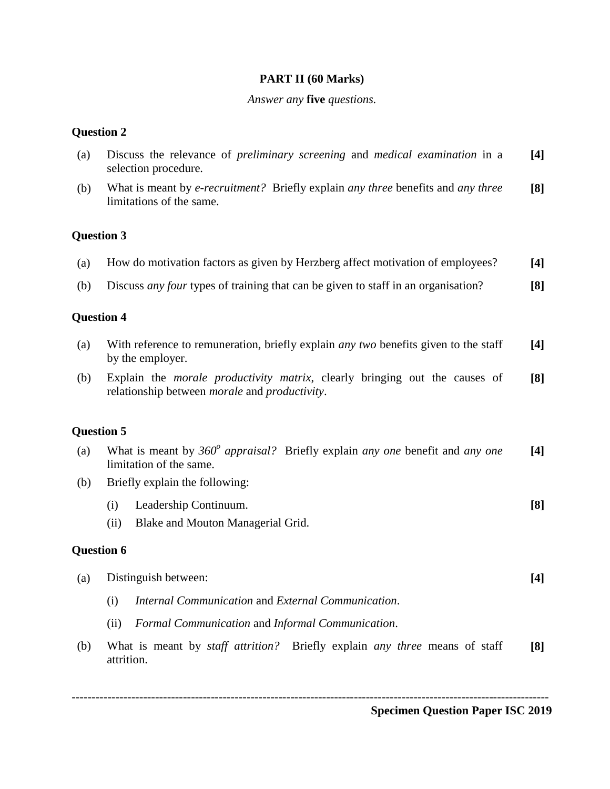## **PART II (60 Marks)**

## *Answer any* **five** *questions.*

## **Question 2**

| (a) | Discuss the relevance of <i>preliminary screening</i> and <i>medical examination</i> in a<br>selection procedure.                                  |       |  |
|-----|----------------------------------------------------------------------------------------------------------------------------------------------------|-------|--|
| (b) | What is meant by e-recruitment? Briefly explain any three benefits and any three<br>limitations of the same.                                       |       |  |
|     | <b>Question 3</b>                                                                                                                                  |       |  |
| (a) | How do motivation factors as given by Herzberg affect motivation of employees?                                                                     | $[4]$ |  |
| (b) | Discuss <i>any four</i> types of training that can be given to staff in an organisation?                                                           |       |  |
|     | <b>Question 4</b>                                                                                                                                  |       |  |
| (a) | With reference to remuneration, briefly explain <i>any two</i> benefits given to the staff<br>by the employer.                                     |       |  |
| (b) | Explain the <i>morale productivity matrix</i> , clearly bringing out the causes of<br>relationship between <i>morale</i> and <i>productivity</i> . |       |  |
|     | <b>Question 5</b>                                                                                                                                  |       |  |
| (a) | What is meant by $360^\circ$ appraisal? Briefly explain any one benefit and any one<br>limitation of the same.                                     |       |  |
| (b) | Briefly explain the following:                                                                                                                     |       |  |
|     | Leadership Continuum.<br>(i)                                                                                                                       | [8]   |  |
|     | Blake and Mouton Managerial Grid.<br>(ii)                                                                                                          |       |  |
|     | <b>Question 6</b>                                                                                                                                  |       |  |
| (a) | Distinguish between:                                                                                                                               |       |  |
|     | Internal Communication and External Communication.<br>(i)                                                                                          |       |  |
|     | Formal Communication and Informal Communication.<br>(ii)                                                                                           |       |  |
| (b) | What is meant by <i>staff attrition</i> ? Briefly explain <i>any three</i> means of staff<br>attrition.                                            | [8]   |  |